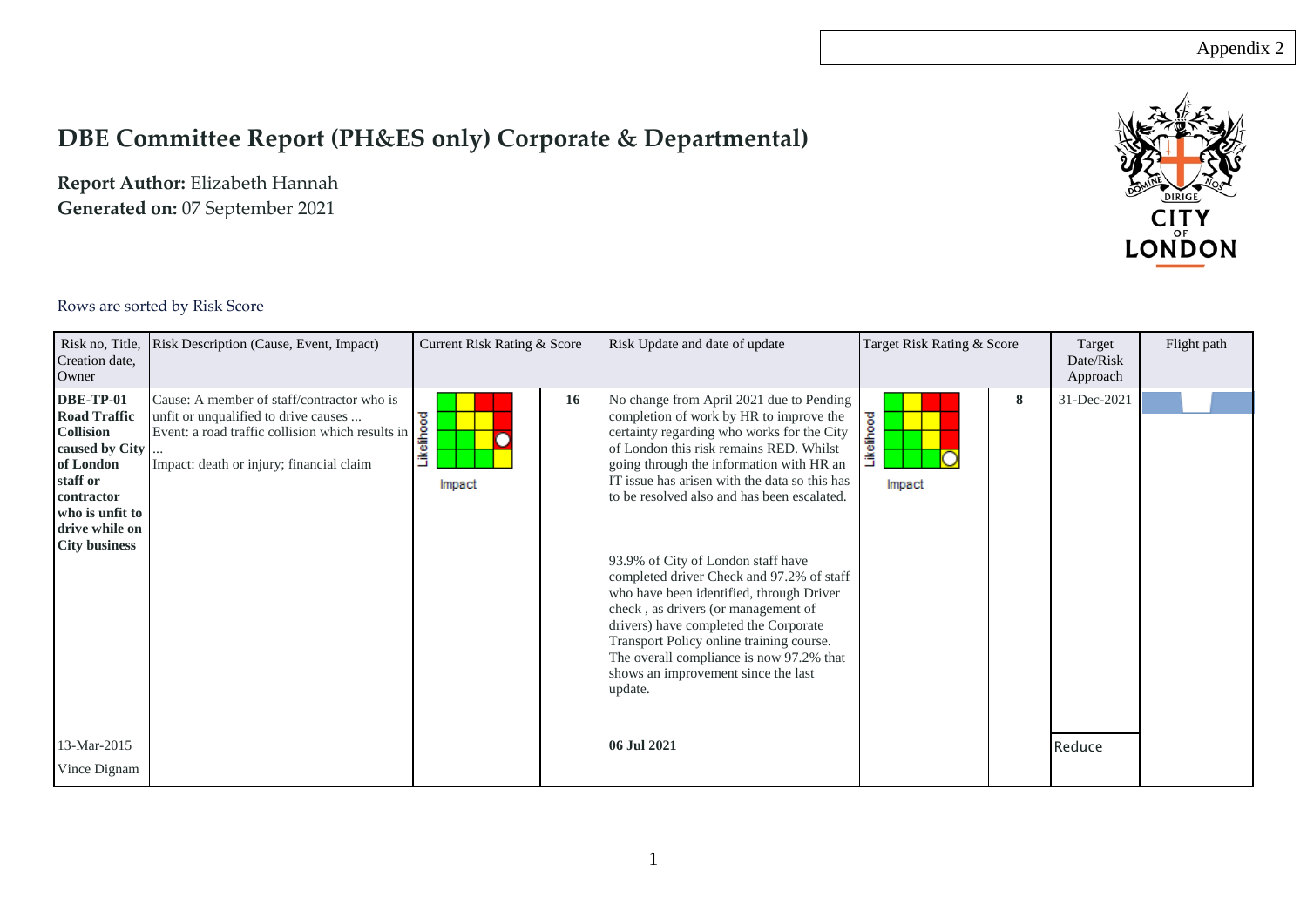## **DBE Committee Report (PH&ES only) Corporate & Departmental)**

**Report Author:** Elizabeth Hannah **Generated on:** 07 September 2021



## Rows are sorted by Risk Score

| Creation date,<br>Owner                                                                                                                                                           | Risk no, Title, Risk Description (Cause, Event, Impact)                                                                                                                            | Current Risk Rating & Score       | Risk Update and date of update                                                                                                                                                                                                                                                                                                                                                                                                                                                                                                                                                                                                                                                    | Target Risk Rating & Score | Target<br>Date/Risk<br>Approach | Flight path |
|-----------------------------------------------------------------------------------------------------------------------------------------------------------------------------------|------------------------------------------------------------------------------------------------------------------------------------------------------------------------------------|-----------------------------------|-----------------------------------------------------------------------------------------------------------------------------------------------------------------------------------------------------------------------------------------------------------------------------------------------------------------------------------------------------------------------------------------------------------------------------------------------------------------------------------------------------------------------------------------------------------------------------------------------------------------------------------------------------------------------------------|----------------------------|---------------------------------|-------------|
| <b>DBE-TP-01</b><br><b>Road Traffic</b><br><b>Collision</b><br>caused by City<br>of London<br>staff or<br>contractor<br>who is unfit to<br>drive while on<br><b>City business</b> | Cause: A member of staff/contractor who is<br>unfit or unqualified to drive causes<br>Event: a road traffic collision which results in<br>Impact: death or injury; financial claim | <b>16</b><br>Likelihood<br>Impact | No change from April 2021 due to Pending<br>completion of work by HR to improve the<br>certainty regarding who works for the City<br>of London this risk remains RED. Whilst<br>going through the information with HR an<br>IT issue has arisen with the data so this has<br>to be resolved also and has been escalated.<br>93.9% of City of London staff have<br>completed driver Check and 97.2% of staff<br>who have been identified, through Driver<br>check, as drivers (or management of<br>drivers) have completed the Corporate<br>Transport Policy online training course.<br>The overall compliance is now 97.2% that<br>shows an improvement since the last<br>update. | 8<br>.ikelihood<br>Impact  | 31-Dec-2021                     |             |
| 13-Mar-2015<br>Vince Dignam                                                                                                                                                       |                                                                                                                                                                                    |                                   | 06 Jul 2021                                                                                                                                                                                                                                                                                                                                                                                                                                                                                                                                                                                                                                                                       |                            | Reduce                          |             |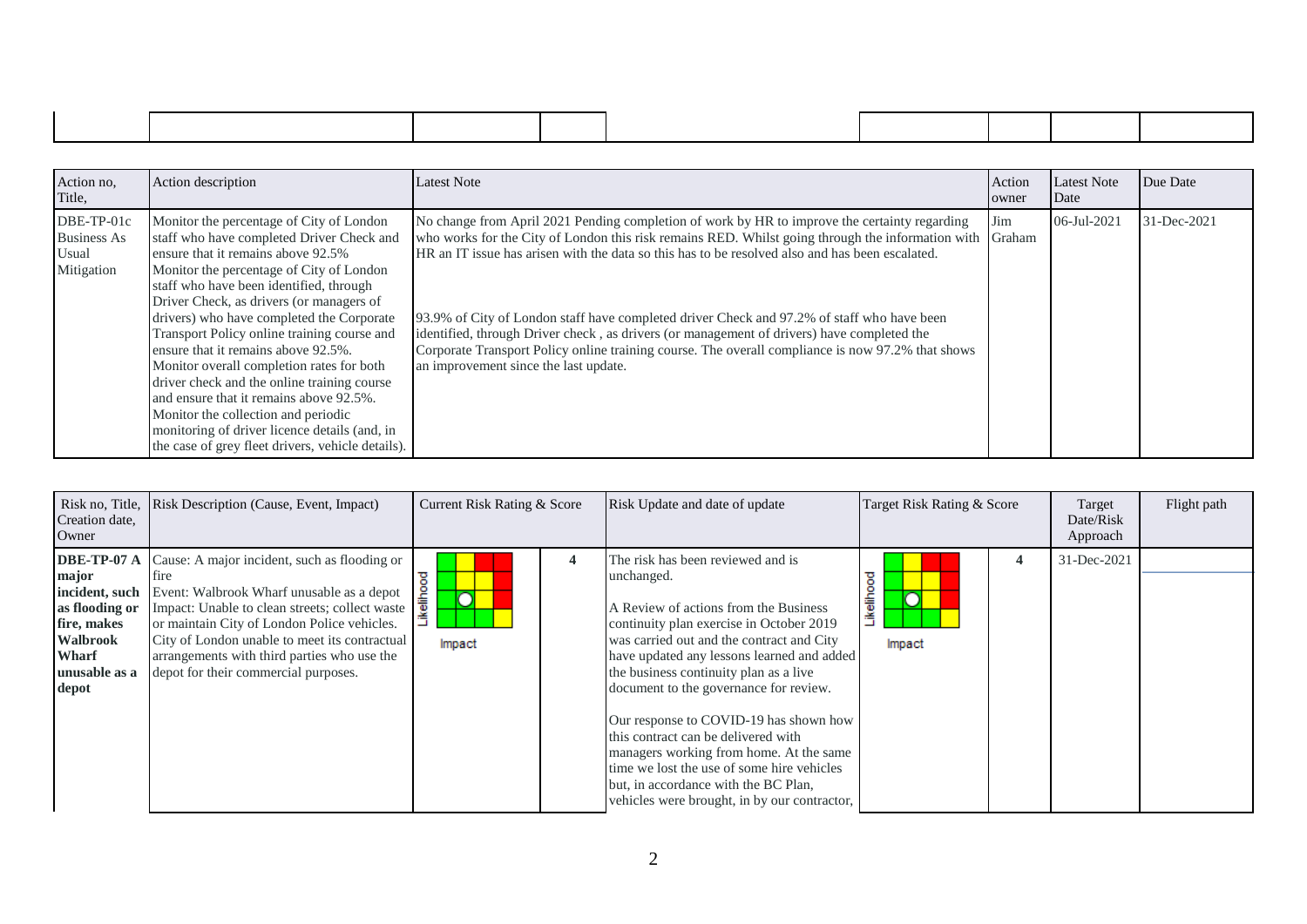| Action no,<br>Title,                                    | Action description                                                                                                                                                                                                                                                                                                                                                                                                                                                                                                                                                                                                                                                                    | <b>Latest Note</b>                                                                                                                                                                                                                                                                                                                                                                                                                                                                                                                                                                                                                                     | Action<br>owner | Latest Note<br>Date | Due Date    |
|---------------------------------------------------------|---------------------------------------------------------------------------------------------------------------------------------------------------------------------------------------------------------------------------------------------------------------------------------------------------------------------------------------------------------------------------------------------------------------------------------------------------------------------------------------------------------------------------------------------------------------------------------------------------------------------------------------------------------------------------------------|--------------------------------------------------------------------------------------------------------------------------------------------------------------------------------------------------------------------------------------------------------------------------------------------------------------------------------------------------------------------------------------------------------------------------------------------------------------------------------------------------------------------------------------------------------------------------------------------------------------------------------------------------------|-----------------|---------------------|-------------|
| DBE-TP-01c<br><b>Business As</b><br>Usual<br>Mitigation | Monitor the percentage of City of London<br>staff who have completed Driver Check and<br>ensure that it remains above 92.5%<br>Monitor the percentage of City of London<br>staff who have been identified, through<br>Driver Check, as drivers (or managers of<br>drivers) who have completed the Corporate<br>Transport Policy online training course and<br>ensure that it remains above 92.5%.<br>Monitor overall completion rates for both<br>driver check and the online training course<br>and ensure that it remains above 92.5%.<br>Monitor the collection and periodic<br>monitoring of driver licence details (and, in<br>the case of grey fleet drivers, vehicle details). | No change from April 2021 Pending completion of work by HR to improve the certainty regarding<br>who works for the City of London this risk remains RED. Whilst going through the information with Graham<br>HR an IT issue has arisen with the data so this has to be resolved also and has been escalated.<br>93.9% of City of London staff have completed driver Check and 97.2% of staff who have been<br>identified, through Driver check, as drivers (or management of drivers) have completed the<br>Corporate Transport Policy online training course. The overall compliance is now 97.2% that shows<br>an improvement since the last update. | Jim             | 06-Jul-2021         | 31-Dec-2021 |

| Creation date,<br>Owner                                                                                                       | Risk no, Title, Risk Description (Cause, Event, Impact)                                                                                                                                                                                                                                                                                            | Current Risk Rating & Score | Risk Update and date of update                                                                                                                                                                                                                                                                                                                                                                                                                                                                                                                                                        | Target Risk Rating & Score | Target<br>Date/Risk<br>Approach | Flight path |
|-------------------------------------------------------------------------------------------------------------------------------|----------------------------------------------------------------------------------------------------------------------------------------------------------------------------------------------------------------------------------------------------------------------------------------------------------------------------------------------------|-----------------------------|---------------------------------------------------------------------------------------------------------------------------------------------------------------------------------------------------------------------------------------------------------------------------------------------------------------------------------------------------------------------------------------------------------------------------------------------------------------------------------------------------------------------------------------------------------------------------------------|----------------------------|---------------------------------|-------------|
| DBE-TP-07 A<br>major<br>incident, such<br>as flooding or<br>fire, makes<br>Walbrook<br><b>Wharf</b><br>unusable as a<br>depot | Cause: A major incident, such as flooding or<br><sub>t</sub><br>Event: Walbrook Wharf unusable as a depot<br>Impact: Unable to clean streets; collect waste<br>or maintain City of London Police vehicles.<br>City of London unable to meet its contractual<br>arrangements with third parties who use the<br>depot for their commercial purposes. | 4<br>┍<br>.<br>≩<br>Impact  | The risk has been reviewed and is<br>unchanged.<br>A Review of actions from the Business<br>continuity plan exercise in October 2019<br>was carried out and the contract and City<br>have updated any lessons learned and added<br>the business continuity plan as a live<br>document to the governance for review.<br>Our response to COVID-19 has shown how<br>this contract can be delivered with<br>managers working from home. At the same<br>time we lost the use of some hire vehicles<br>but, in accordance with the BC Plan,<br>vehicles were brought, in by our contractor, | 4<br>≖<br>高半<br>Impact     | 31-Dec-2021                     |             |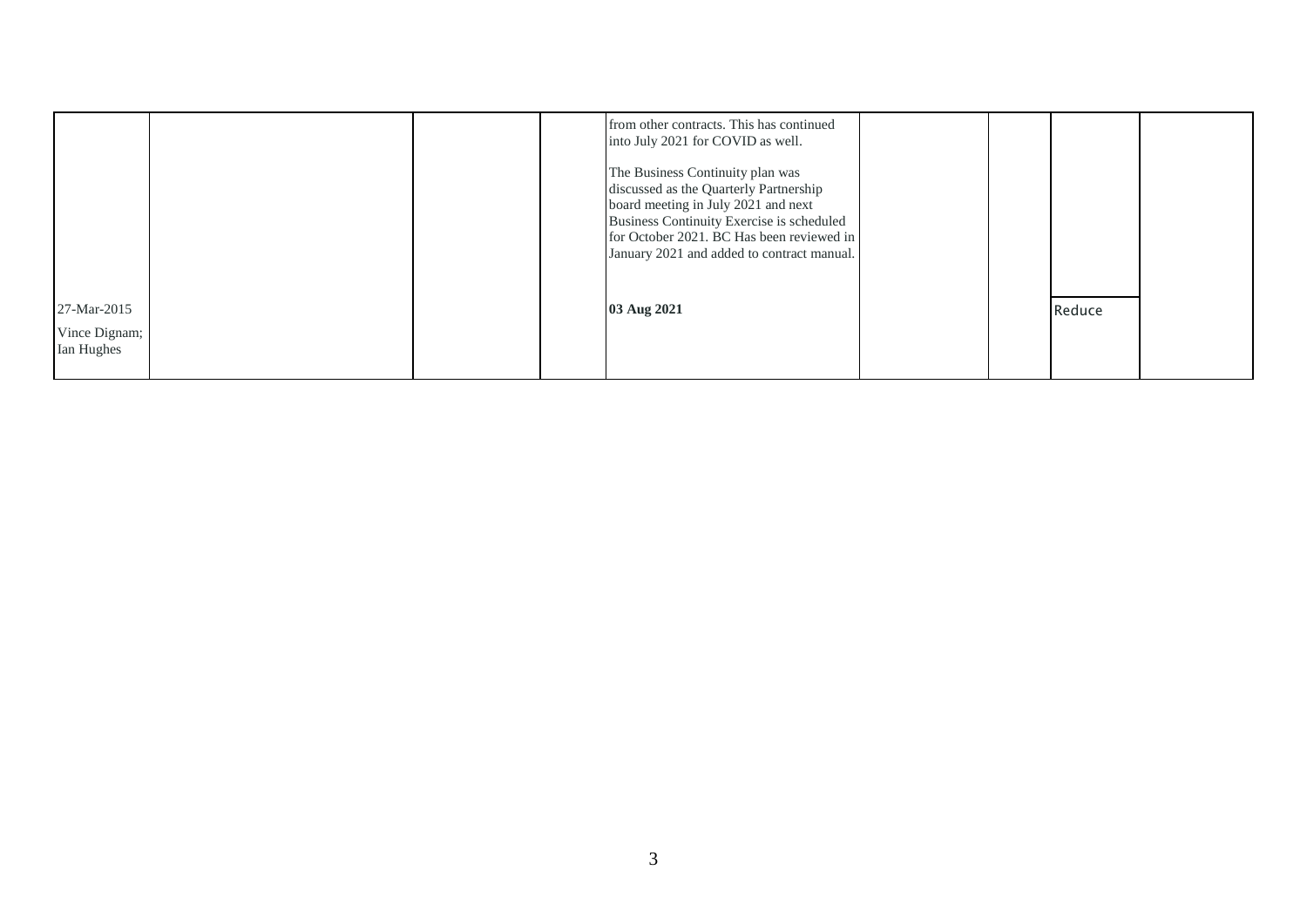|                             | from other contracts. This has continued<br>into July 2021 for COVID as well.<br>The Business Continuity plan was<br>discussed as the Quarterly Partnership                 |  |        |  |
|-----------------------------|-----------------------------------------------------------------------------------------------------------------------------------------------------------------------------|--|--------|--|
|                             | board meeting in July 2021 and next<br>Business Continuity Exercise is scheduled<br>for October 2021. BC Has been reviewed in<br>January 2021 and added to contract manual. |  |        |  |
| 27-Mar-2015                 | 03 Aug 2021                                                                                                                                                                 |  | Reduce |  |
| Vince Dignam;<br>Ian Hughes |                                                                                                                                                                             |  |        |  |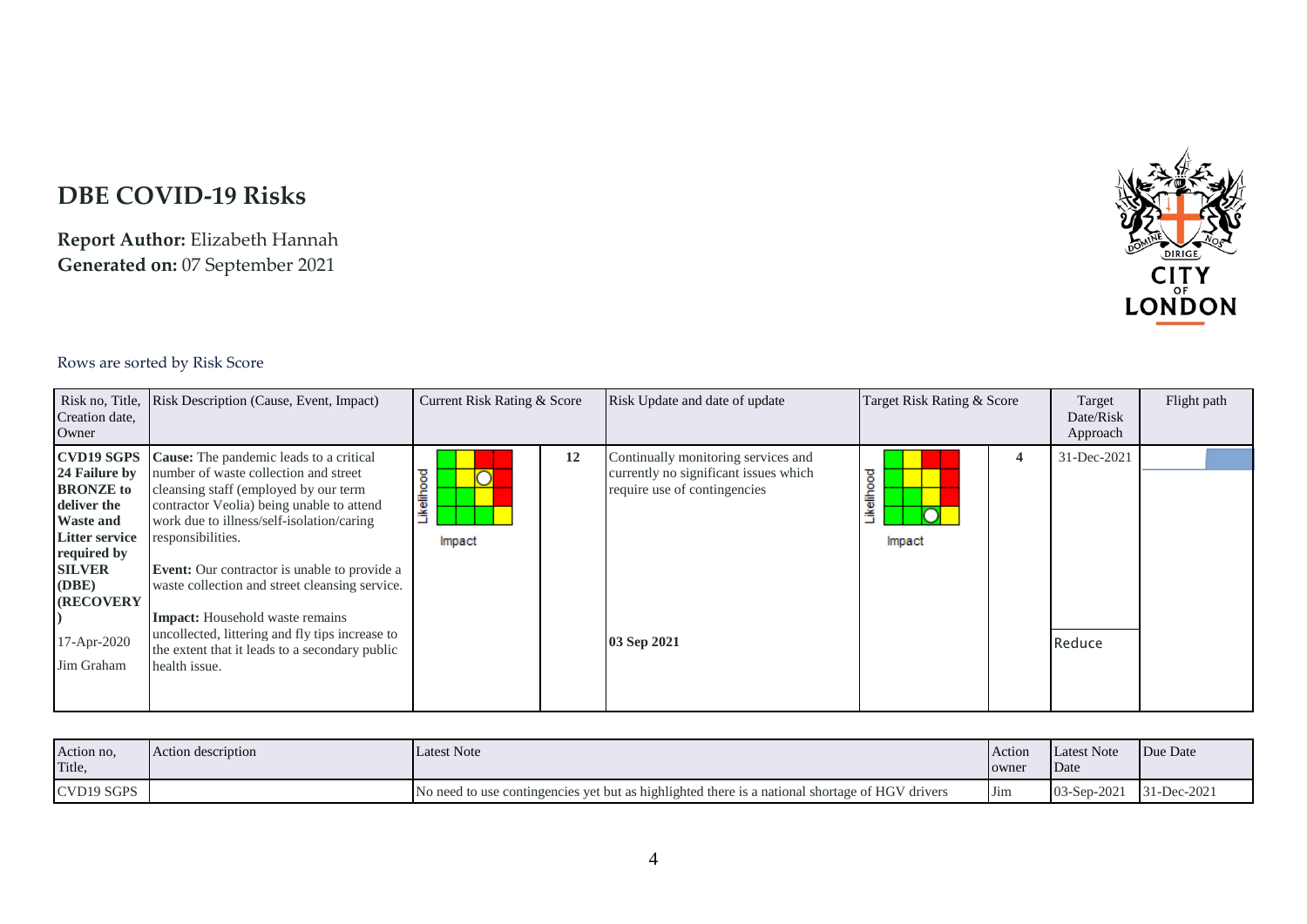## **DBE COVID-19 Risks**

**Report Author:** Elizabeth Hannah **Generated on:** 07 September 2021



## Rows are sorted by Risk Score

| Creation date,<br>Owner                                                                                                                                                                                       | Risk no, Title, Risk Description (Cause, Event, Impact)                                                                                                                                                                                                                                                                                                                                                                                                                                                           | Current Risk Rating & Score | Risk Update and date of update                                                                                              | Target Risk Rating & Score | Target<br>Date/Risk<br>Approach | Flight path |
|---------------------------------------------------------------------------------------------------------------------------------------------------------------------------------------------------------------|-------------------------------------------------------------------------------------------------------------------------------------------------------------------------------------------------------------------------------------------------------------------------------------------------------------------------------------------------------------------------------------------------------------------------------------------------------------------------------------------------------------------|-----------------------------|-----------------------------------------------------------------------------------------------------------------------------|----------------------------|---------------------------------|-------------|
| <b>CVD19 SGPS</b><br>24 Failure by<br><b>BRONZE</b> to<br>deliver the<br><b>Waste and</b><br><b>Litter service</b><br>required by<br><b>SILVER</b><br>(DBE)<br><b>(RECOVERY)</b><br>17-Apr-2020<br>Jim Graham | Cause: The pandemic leads to a critical<br>number of waste collection and street<br>cleansing staff (employed by our term<br>contractor Veolia) being unable to attend<br>work due to illness/self-isolation/caring<br>responsibilities.<br><b>Event:</b> Our contractor is unable to provide a<br>waste collection and street cleansing service.<br><b>Impact:</b> Household waste remains<br>uncollected, littering and fly tips increase to<br>the extent that it leads to a secondary public<br>health issue. | 12<br>ikelihood<br>Impact   | Continually monitoring services and<br>currently no significant issues which<br>require use of contingencies<br>03 Sep 2021 | 4<br>kellhood<br>Impact    | 31-Dec-2021<br>Reduce           |             |

| Action no.<br>Title, | Action description | <b>Latest Note</b>                                                                              | Action<br>owner | Latest Note<br>Date | Due Date    |
|----------------------|--------------------|-------------------------------------------------------------------------------------------------|-----------------|---------------------|-------------|
| CVD19 SGPS           |                    | No need to use contingencies yet but as highlighted there is a national shortage of HGV drivers | <b>I</b> Jim    | $03-Sep-2021$       | 31-Dec-2021 |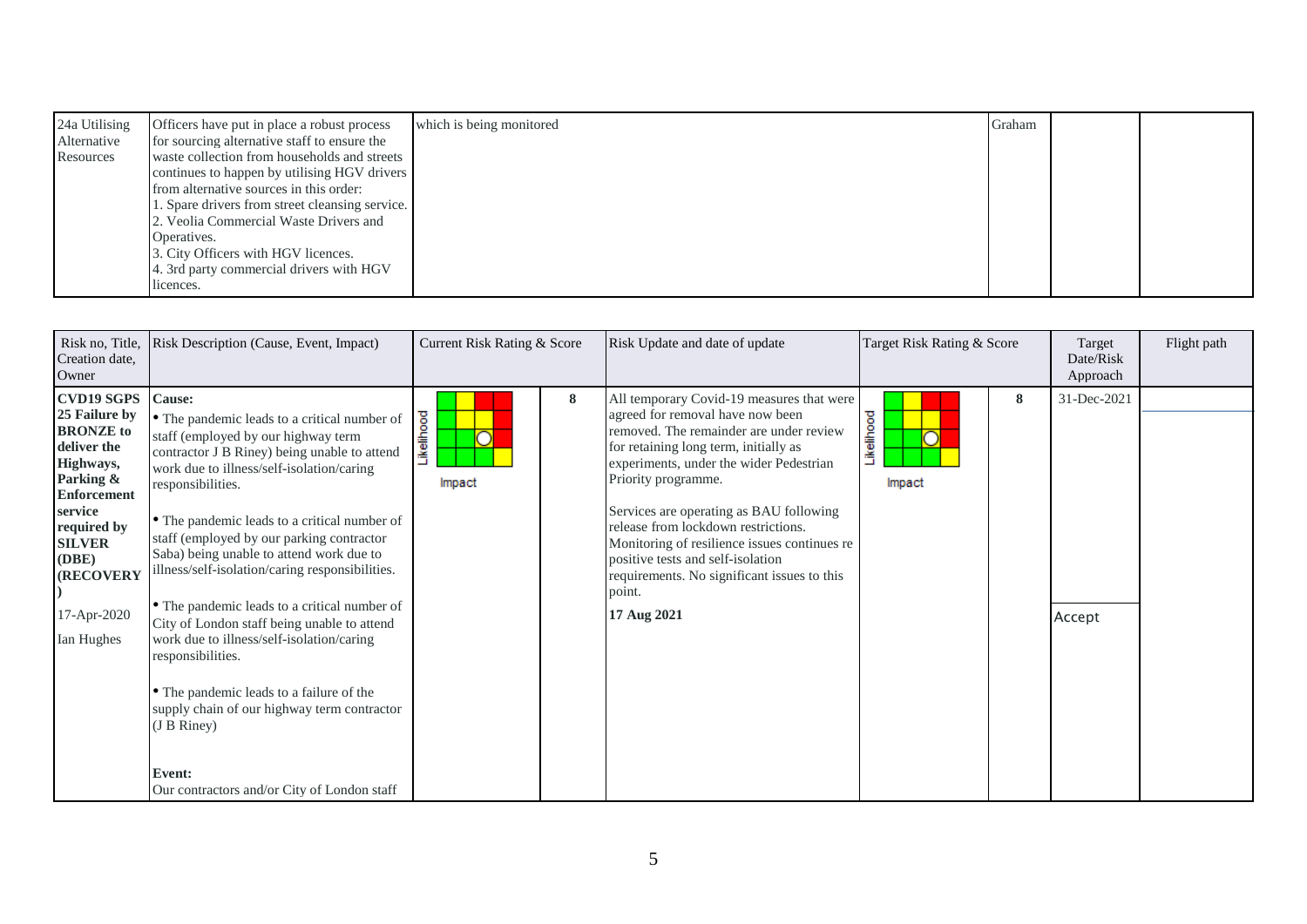| 24a Utilising | Officers have put in place a robust process     | which is being monitored | Graham |  |
|---------------|-------------------------------------------------|--------------------------|--------|--|
| Alternative   | for sourcing alternative staff to ensure the    |                          |        |  |
| Resources     | waste collection from households and streets    |                          |        |  |
|               | continues to happen by utilising HGV drivers    |                          |        |  |
|               | from alternative sources in this order:         |                          |        |  |
|               | 1. Spare drivers from street cleansing service. |                          |        |  |
|               | 2. Veolia Commercial Waste Drivers and          |                          |        |  |
|               | Operatives.                                     |                          |        |  |
|               | 3. City Officers with HGV licences.             |                          |        |  |
|               | 4. 3rd party commercial drivers with HGV        |                          |        |  |
|               | licences.                                       |                          |        |  |

| Risk no, Title,<br>Creation date,<br>Owner                                                                                                                                                                          | Risk Description (Cause, Event, Impact)                                                                                                                                                                                                                                                                                                                                                                                                                                                                                                                                                                                                                                                                                                         | Current Risk Rating & Score | Risk Update and date of update                                                                                                                                                                                                                                                                                                                                                                                                                                                     | Target Risk Rating & Score | Target<br>Date/Risk<br>Approach | Flight path |
|---------------------------------------------------------------------------------------------------------------------------------------------------------------------------------------------------------------------|-------------------------------------------------------------------------------------------------------------------------------------------------------------------------------------------------------------------------------------------------------------------------------------------------------------------------------------------------------------------------------------------------------------------------------------------------------------------------------------------------------------------------------------------------------------------------------------------------------------------------------------------------------------------------------------------------------------------------------------------------|-----------------------------|------------------------------------------------------------------------------------------------------------------------------------------------------------------------------------------------------------------------------------------------------------------------------------------------------------------------------------------------------------------------------------------------------------------------------------------------------------------------------------|----------------------------|---------------------------------|-------------|
| <b>CVD19 SGPS</b><br>25 Failure by<br><b>BRONZE</b> to<br>deliver the<br>Highways,<br>Parking &<br><b>Enforcement</b><br>service<br>required by<br><b>SILVER</b><br>(DBE)<br>(RECOVERY<br>17-Apr-2020<br>Ian Hughes | Cause:<br>• The pandemic leads to a critical number of<br>staff (employed by our highway term<br>contractor J B Riney) being unable to attend<br>work due to illness/self-isolation/caring<br>responsibilities.<br>• The pandemic leads to a critical number of<br>staff (employed by our parking contractor<br>Saba) being unable to attend work due to<br>illness/self-isolation/caring responsibilities.<br>• The pandemic leads to a critical number of<br>City of London staff being unable to attend<br>work due to illness/self-isolation/caring<br>responsibilities.<br>• The pandemic leads to a failure of the<br>supply chain of our highway term contractor<br>(J B Riney)<br>Event:<br>Our contractors and/or City of London staff | 8<br>Likelihood<br>Impact   | All temporary Covid-19 measures that were<br>agreed for removal have now been<br>removed. The remainder are under review<br>for retaining long term, initially as<br>experiments, under the wider Pedestrian<br>Priority programme.<br>Services are operating as BAU following<br>release from lockdown restrictions.<br>Monitoring of resilience issues continues re<br>positive tests and self-isolation<br>requirements. No significant issues to this<br>point.<br>17 Aug 2021 | 8<br>Likelihood<br>Impact  | 31-Dec-2021<br>Accept           |             |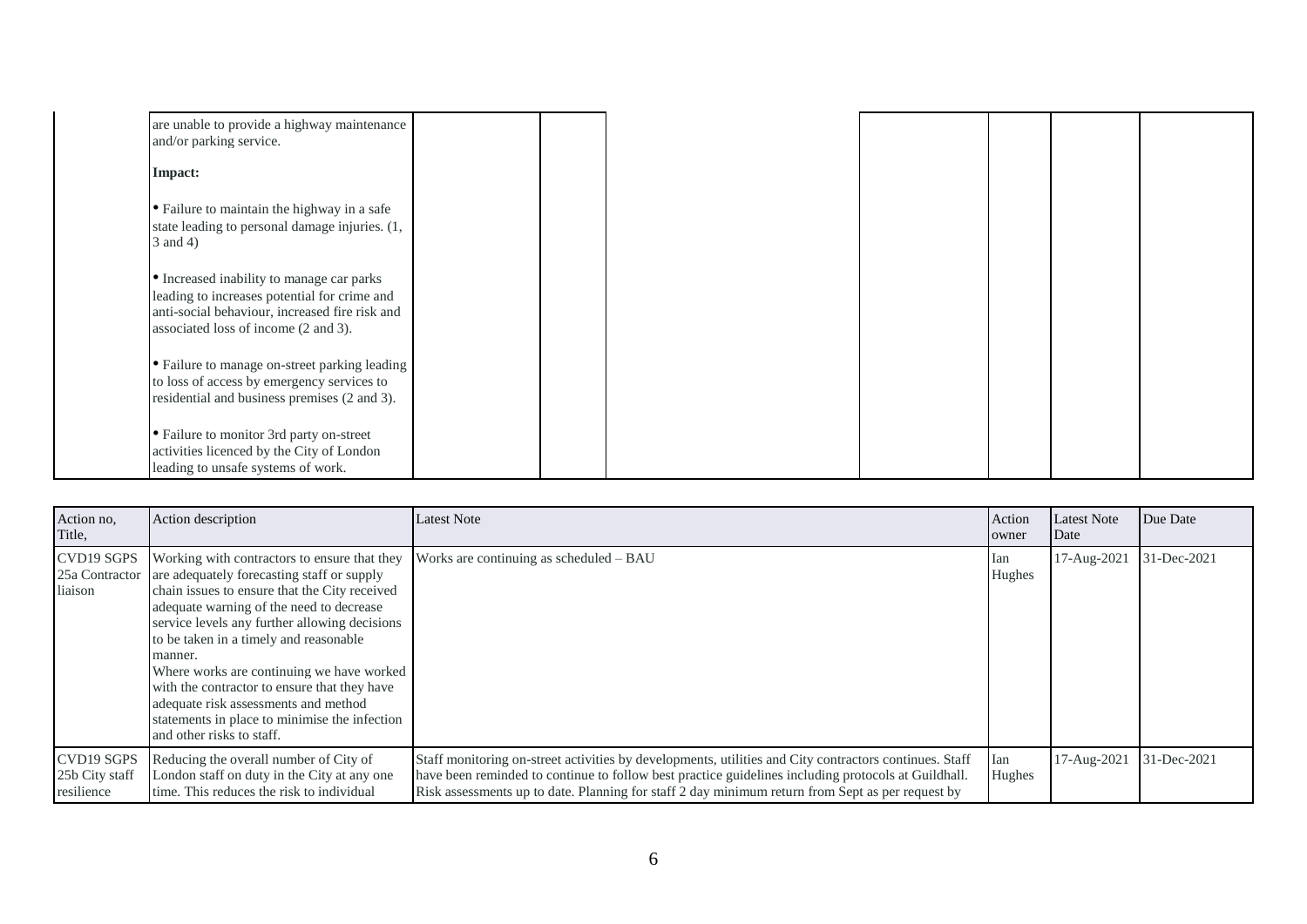| are unable to provide a highway maintenance    |  |  |  |  |
|------------------------------------------------|--|--|--|--|
| and/or parking service.                        |  |  |  |  |
| Impact:                                        |  |  |  |  |
| • Failure to maintain the highway in a safe    |  |  |  |  |
| state leading to personal damage injuries. (1, |  |  |  |  |
| 3 and 4)                                       |  |  |  |  |
| • Increased inability to manage car parks      |  |  |  |  |
| leading to increases potential for crime and   |  |  |  |  |
| anti-social behaviour, increased fire risk and |  |  |  |  |
| associated loss of income (2 and 3).           |  |  |  |  |
| • Failure to manage on-street parking leading  |  |  |  |  |
| to loss of access by emergency services to     |  |  |  |  |
| residential and business premises (2 and 3).   |  |  |  |  |
| • Failure to monitor 3rd party on-street       |  |  |  |  |
| activities licenced by the City of London      |  |  |  |  |
| leading to unsafe systems of work.             |  |  |  |  |

| Action no,<br>Title,                       | Action description                                                                                                                                                                                                                                                                                                                                                                                                                                                                                                              | <b>Latest Note</b>                                                                                                                                                                                                                                                                                                | Action<br>owner | <b>Latest Note</b><br>Date | Due Date    |
|--------------------------------------------|---------------------------------------------------------------------------------------------------------------------------------------------------------------------------------------------------------------------------------------------------------------------------------------------------------------------------------------------------------------------------------------------------------------------------------------------------------------------------------------------------------------------------------|-------------------------------------------------------------------------------------------------------------------------------------------------------------------------------------------------------------------------------------------------------------------------------------------------------------------|-----------------|----------------------------|-------------|
| CVD19 SGPS<br>liaison                      | Working with contractors to ensure that they<br>25a Contractor are adequately forecasting staff or supply<br>chain issues to ensure that the City received<br>adequate warning of the need to decrease<br>service levels any further allowing decisions<br>to be taken in a timely and reasonable<br>manner.<br>Where works are continuing we have worked<br>with the contractor to ensure that they have<br>adequate risk assessments and method<br>statements in place to minimise the infection<br>and other risks to staff. | Works are continuing as scheduled – BAU                                                                                                                                                                                                                                                                           | lan<br>Hughes   | 17-Aug-2021                | 31-Dec-2021 |
| CVD19 SGPS<br>25b City staff<br>resilience | Reducing the overall number of City of<br>London staff on duty in the City at any one<br>time. This reduces the risk to individual                                                                                                                                                                                                                                                                                                                                                                                              | Staff monitoring on-street activities by developments, utilities and City contractors continues. Staff<br>have been reminded to continue to follow best practice guidelines including protocols at Guildhall.<br>Risk assessments up to date. Planning for staff 2 day minimum return from Sept as per request by | Ian<br>Hughes   | 17-Aug-2021                | 31-Dec-2021 |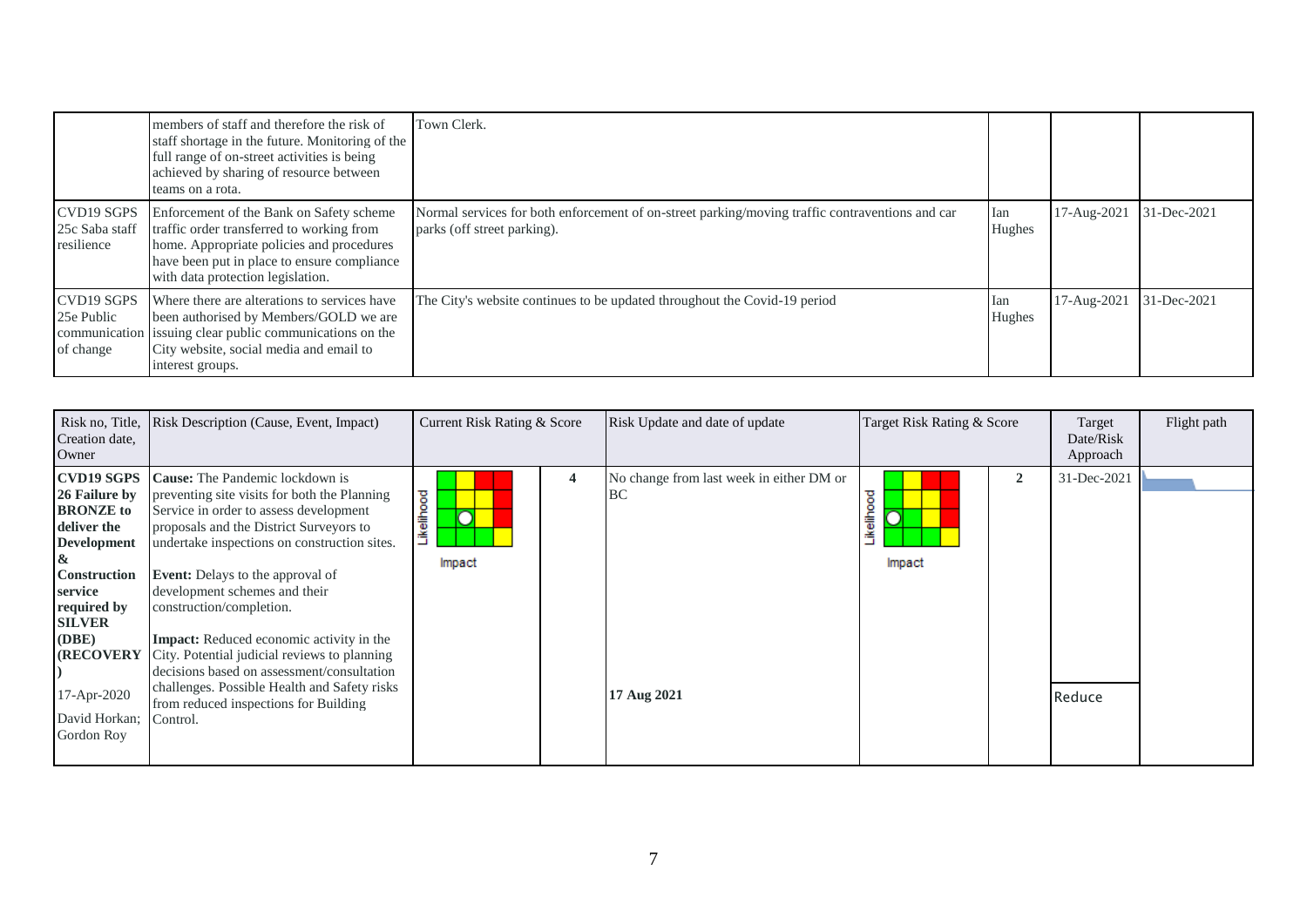|                                              | members of staff and therefore the risk of<br>staff shortage in the future. Monitoring of the<br>full range of on-street activities is being<br>achieved by sharing of resource between<br>teams on a rota.            | Town Clerk.                                                                                                                    |               |                         |             |
|----------------------------------------------|------------------------------------------------------------------------------------------------------------------------------------------------------------------------------------------------------------------------|--------------------------------------------------------------------------------------------------------------------------------|---------------|-------------------------|-------------|
| CVD19 SGPS<br>25c Saba staff<br>resilience   | Enforcement of the Bank on Safety scheme<br>traffic order transferred to working from<br>home. Appropriate policies and procedures<br>have been put in place to ensure compliance<br>with data protection legislation. | Normal services for both enforcement of on-street parking/moving traffic contraventions and car<br>parks (off street parking). | lan<br>Hughes | 17-Aug-2021             | 31-Dec-2021 |
| <b>CVD19 SGPS</b><br>25e Public<br>of change | Where there are alterations to services have<br>been authorised by Members/GOLD we are<br>communication issuing clear public communications on the<br>City website, social media and email to<br>interest groups.      | The City's website continues to be updated throughout the Covid-19 period                                                      | lan<br>Hughes | 17-Aug-2021 31-Dec-2021 |             |

| Creation date,<br>Owner                                                                                                                                                                                    | Risk no, Title, Risk Description (Cause, Event, Impact)                                                                                                                                                                                                                                                                                                                                                                                                                                                                              | Current Risk Rating & Score |                | Risk Update and date of update                                | Target Risk Rating & Score |                | Target<br>Date/Risk<br>Approach | Flight path |
|------------------------------------------------------------------------------------------------------------------------------------------------------------------------------------------------------------|--------------------------------------------------------------------------------------------------------------------------------------------------------------------------------------------------------------------------------------------------------------------------------------------------------------------------------------------------------------------------------------------------------------------------------------------------------------------------------------------------------------------------------------|-----------------------------|----------------|---------------------------------------------------------------|----------------------------|----------------|---------------------------------|-------------|
| <b>CVD19 SGPS</b><br>26 Failure by<br><b>BRONZE</b> to<br>deliver the<br><b>Development</b><br><b>Construction</b><br>service<br>required by<br><b>SILVER</b><br>(DBE)<br><b>(RECOVERY)</b><br>17-Apr-2020 | <b>Cause:</b> The Pandemic lockdown is<br>preventing site visits for both the Planning<br>Service in order to assess development<br>proposals and the District Surveyors to<br>undertake inspections on construction sites.<br><b>Event:</b> Delays to the approval of<br>development schemes and their<br>construction/completion.<br><b>Impact:</b> Reduced economic activity in the<br>City. Potential judicial reviews to planning<br>decisions based on assessment/consultation<br>challenges. Possible Health and Safety risks | Likelihood<br>Impact        | $\overline{4}$ | No change from last week in either DM or<br>BC<br>17 Aug 2021 | ikelihood<br>Impact        | $\overline{2}$ | 31-Dec-2021<br>Reduce           |             |
| David Horkan; Control.<br>Gordon Roy                                                                                                                                                                       | from reduced inspections for Building                                                                                                                                                                                                                                                                                                                                                                                                                                                                                                |                             |                |                                                               |                            |                |                                 |             |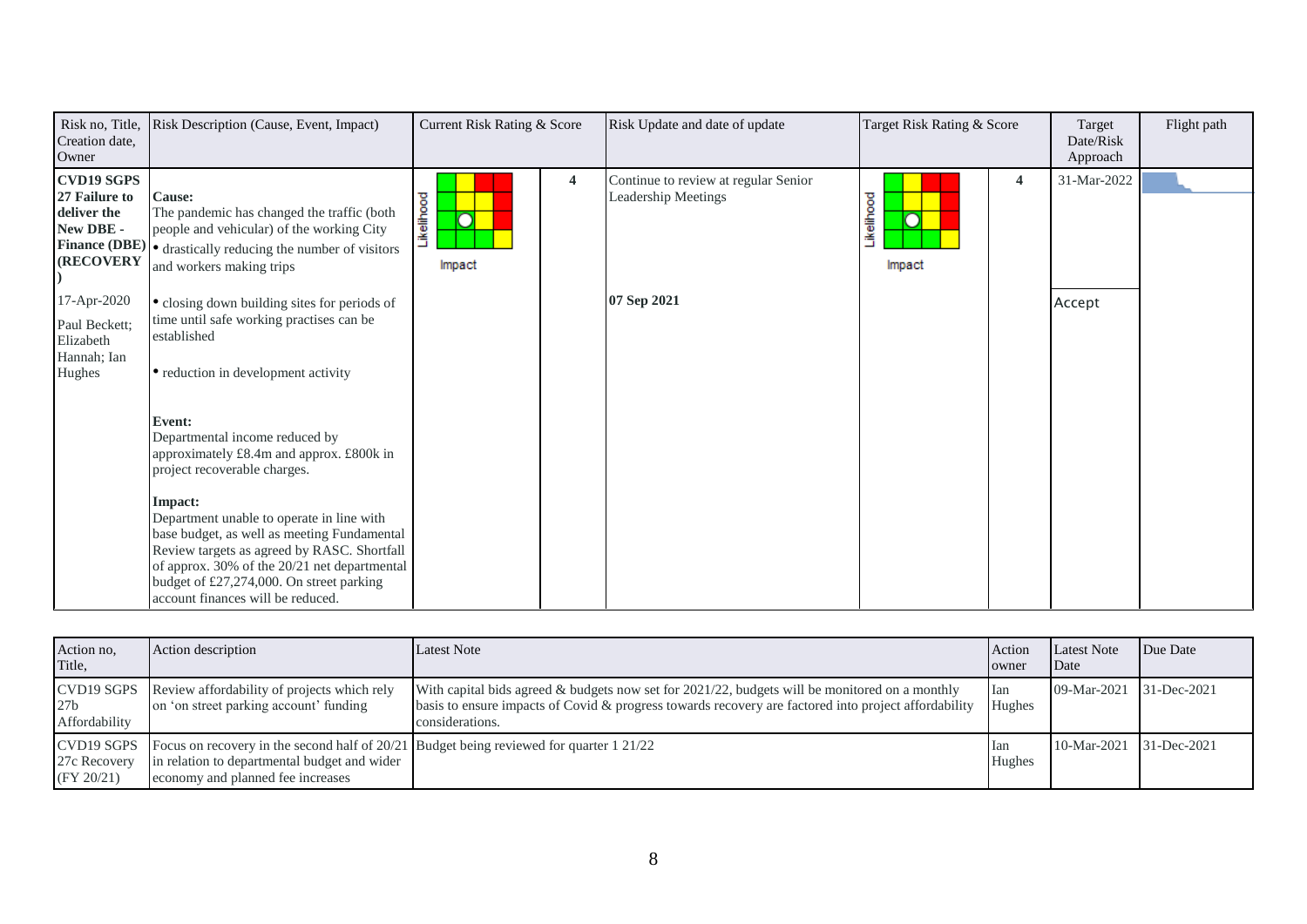| Risk no, Title,<br>Creation date,<br>Owner                                         | Risk Description (Cause, Event, Impact)                                                                                                                                                                                                                                                                                                                                                                     | Current Risk Rating & Score |   | Risk Update and date of update                              | Target Risk Rating & Score                          |                         | Target<br>Date/Risk<br>Approach | Flight path |
|------------------------------------------------------------------------------------|-------------------------------------------------------------------------------------------------------------------------------------------------------------------------------------------------------------------------------------------------------------------------------------------------------------------------------------------------------------------------------------------------------------|-----------------------------|---|-------------------------------------------------------------|-----------------------------------------------------|-------------------------|---------------------------------|-------------|
| <b>CVD19 SGPS</b><br>27 Failure to<br>deliver the<br>New DBE -<br><b>(RECOVERY</b> | <b>Cause:</b><br>The pandemic has changed the traffic (both<br>people and vehicular) of the working City<br>Finance (DBE) $\bullet$ drastically reducing the number of visitors<br>and workers making trips                                                                                                                                                                                                 | Likelihood<br>Ō<br>Impact   | 4 | Continue to review at regular Senior<br>Leadership Meetings | <b>ikelihood</b><br>$\overline{\text{O}}$<br>Impact | $\overline{\mathbf{4}}$ | 31-Mar-2022                     |             |
| 17-Apr-2020<br>Paul Beckett;<br>Elizabeth<br>Hannah; Ian<br>Hughes                 | • closing down building sites for periods of<br>time until safe working practises can be<br>established<br>• reduction in development activity                                                                                                                                                                                                                                                              |                             |   | 07 Sep 2021                                                 |                                                     |                         | Accept                          |             |
|                                                                                    | Event:<br>Departmental income reduced by<br>approximately £8.4m and approx. £800k in<br>project recoverable charges.<br>Impact:<br>Department unable to operate in line with<br>base budget, as well as meeting Fundamental<br>Review targets as agreed by RASC. Shortfall<br>of approx. 30% of the 20/21 net departmental<br>budget of £27,274,000. On street parking<br>account finances will be reduced. |                             |   |                                                             |                                                     |                         |                                 |             |

| Action no.<br>Title,                     | Action description                                                                                                                                                             | <b>Latest Note</b>                                                                                                                                                                                                           | Action<br>owner | <b>Latest Note</b><br>Date | Due Date |
|------------------------------------------|--------------------------------------------------------------------------------------------------------------------------------------------------------------------------------|------------------------------------------------------------------------------------------------------------------------------------------------------------------------------------------------------------------------------|-----------------|----------------------------|----------|
| 27 <sub>b</sub><br>Affordability         | CVD19 SGPS Review affordability of projects which rely<br>on 'on street parking account' funding                                                                               | With capital bids agreed & budgets now set for $2021/22$ , budgets will be monitored on a monthly<br>basis to ensure impacts of Covid & progress towards recovery are factored into project affordability<br>considerations. | Ian<br>Hughes   | 09-Mar-2021 31-Dec-2021    |          |
| CVD19 SGPS<br>27c Recovery<br>(FY 20/21) | Focus on recovery in the second half of $20/21$ Budget being reviewed for quarter 1 21/22<br>in relation to departmental budget and wider<br>economy and planned fee increases |                                                                                                                                                                                                                              | lan<br>Hughes   | 10-Mar-2021 31-Dec-2021    |          |